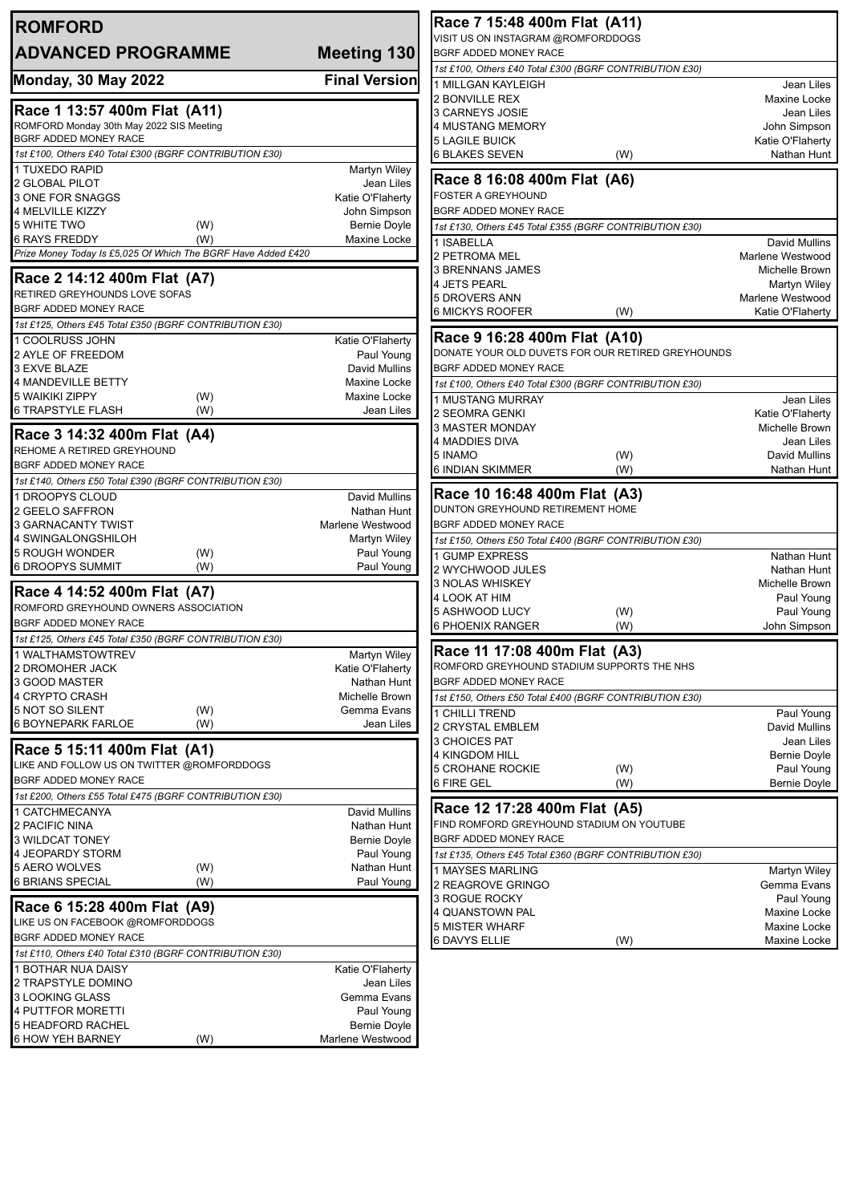| <b>ROMFORD</b>                                                                   |                                      | Race 7 15:48 400m Flat (A11)                                                      |                                       |
|----------------------------------------------------------------------------------|--------------------------------------|-----------------------------------------------------------------------------------|---------------------------------------|
| <b>ADVANCED PROGRAMME</b>                                                        | Meeting 130                          | VISIT US ON INSTAGRAM @ROMFORDDOGS<br><b>BGRF ADDED MONEY RACE</b>                |                                       |
|                                                                                  |                                      | 1st £100, Others £40 Total £300 (BGRF CONTRIBUTION £30)                           |                                       |
| <b>Monday, 30 May 2022</b>                                                       | <b>Final Version</b>                 | 1 MILLGAN KAYLEIGH                                                                | Jean Liles                            |
|                                                                                  |                                      | 2 BONVILLE REX                                                                    | Maxine Locke                          |
| Race 1 13:57 400m Flat (A11)                                                     |                                      | 3 CARNEYS JOSIE                                                                   | Jean Liles                            |
| ROMFORD Monday 30th May 2022 SIS Meeting                                         |                                      | 4 MUSTANG MEMORY                                                                  | John Simpson                          |
| BGRF ADDED MONEY RACE<br>1st £100, Others £40 Total £300 (BGRF CONTRIBUTION £30) |                                      | <b>5 LAGILE BUICK</b>                                                             | Katie O'Flaherty                      |
| 1 TUXEDO RAPID                                                                   | <b>Martyn Wiley</b>                  | <b>6 BLAKES SEVEN</b><br>(W)                                                      | Nathan Hunt                           |
| 2 GLOBAL PILOT                                                                   | Jean Liles                           | Race 8 16:08 400m Flat (A6)                                                       |                                       |
| 3 ONE FOR SNAGGS                                                                 | Katie O'Flaherty                     | <b>FOSTER A GREYHOUND</b>                                                         |                                       |
| 4 MELVILLE KIZZY                                                                 | John Simpson                         | BGRF ADDED MONEY RACE                                                             |                                       |
| 5 WHITE TWO<br>(W)                                                               | <b>Bernie Doyle</b>                  | 1st £130, Others £45 Total £355 (BGRF CONTRIBUTION £30)                           |                                       |
| <b>6 RAYS FREDDY</b><br>(W)                                                      | Maxine Locke                         | 1 ISABELLA                                                                        | <b>David Mullins</b>                  |
| Prize Money Today Is £5,025 Of Which The BGRF Have Added £420                    |                                      | 2 PETROMA MEL                                                                     | Marlene Westwood                      |
| Race 2 14:12 400m Flat (A7)                                                      |                                      | 3 BRENNANS JAMES<br>4 JETS PEARL                                                  | <b>Michelle Brown</b><br>Martyn Wiley |
| RETIRED GREYHOUNDS LOVE SOFAS                                                    |                                      | 5 DROVERS ANN                                                                     | Marlene Westwood                      |
| <b>BGRF ADDED MONEY RACE</b>                                                     |                                      | 6 MICKYS ROOFER<br>(W)                                                            | Katie O'Flaherty                      |
| 1st £125, Others £45 Total £350 (BGRF CONTRIBUTION £30)                          |                                      |                                                                                   |                                       |
| 1 COOLRUSS JOHN                                                                  | Katie O'Flaherty                     | Race 9 16:28 400m Flat (A10)<br>DONATE YOUR OLD DUVETS FOR OUR RETIRED GREYHOUNDS |                                       |
| 2 AYLE OF FREEDOM                                                                | Paul Young                           | BGRF ADDED MONEY RACE                                                             |                                       |
| 3 EXVE BLAZE<br>4 MANDEVILLE BETTY                                               | <b>David Mullins</b><br>Maxine Locke | 1st £100, Others £40 Total £300 (BGRF CONTRIBUTION £30)                           |                                       |
| <b>5 WAIKIKI ZIPPY</b><br>(W)                                                    | Maxine Locke                         | 1 MUSTANG MURRAY                                                                  | Jean Liles                            |
| <b>6 TRAPSTYLE FLASH</b><br>(W)                                                  | Jean Liles                           | 2 SEOMRA GENKI                                                                    | Katie O'Flaherty                      |
|                                                                                  |                                      | 3 MASTER MONDAY                                                                   | Michelle Brown                        |
| Race 3 14:32 400m Flat (A4)                                                      |                                      | 4 MADDIES DIVA                                                                    | Jean Liles                            |
| REHOME A RETIRED GREYHOUND<br>BGRF ADDED MONEY RACE                              |                                      | 5 INAMO<br>(W)                                                                    | David Mullins                         |
| 1st £140, Others £50 Total £390 (BGRF CONTRIBUTION £30)                          |                                      | <b>6 INDIAN SKIMMER</b><br>(W)                                                    | Nathan Hunt                           |
| 1 DROOPYS CLOUD                                                                  | <b>David Mullins</b>                 | Race 10 16:48 400m Flat (A3)                                                      |                                       |
| 2 GEELO SAFFRON                                                                  | Nathan Hunt                          | DUNTON GREYHOUND RETIREMENT HOME                                                  |                                       |
| 3 GARNACANTY TWIST                                                               | Marlene Westwood                     | BGRF ADDED MONEY RACE                                                             |                                       |
| 4 SWINGALONGSHILOH                                                               | <b>Martyn Wiley</b>                  | 1st £150, Others £50 Total £400 (BGRF CONTRIBUTION £30)                           |                                       |
| <b>5 ROUGH WONDER</b><br>(W)<br>6 DROOPYS SUMMIT                                 | Paul Young                           | 1 GUMP EXPRESS                                                                    | Nathan Hunt                           |
| (W)                                                                              | Paul Young                           | 2 WYCHWOOD JULES<br><b>3 NOLAS WHISKEY</b>                                        | Nathan Hunt                           |
| Race 4 14:52 400m Flat (A7)                                                      |                                      | 4 LOOK AT HIM                                                                     | Michelle Brown<br>Paul Young          |
| ROMFORD GREYHOUND OWNERS ASSOCIATION                                             |                                      | 5 ASHWOOD LUCY<br>(W)                                                             | Paul Young                            |
| BGRF ADDED MONEY RACE                                                            |                                      | <b>6 PHOENIX RANGER</b><br>(W)                                                    | John Simpson                          |
| 1st £125, Others £45 Total £350 (BGRF CONTRIBUTION £30)                          |                                      |                                                                                   |                                       |
| 1 WALTHAMSTOWTREV                                                                | Martyn Wiley                         | Race 11 17:08 400m Flat (A3)<br>ROMFORD GREYHOUND STADIUM SUPPORTS THE NHS        |                                       |
| 2 DROMOHER JACK<br>3 GOOD MASTER                                                 | Katie O'Flaherty<br>Nathan Hunt      | BGRF ADDED MONEY RACE                                                             |                                       |
| 4 CRYPTO CRASH                                                                   | Michelle Brown                       | 1st £150, Others £50 Total £400 (BGRF CONTRIBUTION £30)                           |                                       |
| 5 NOT SO SILENT<br>(W)                                                           | Gemma Evans                          | 1 CHILLI TREND                                                                    | Paul Young                            |
| <b>6 BOYNEPARK FARLOE</b><br>(W)                                                 | Jean Liles                           | 2 CRYSTAL EMBLEM                                                                  | David Mullins                         |
|                                                                                  |                                      | 3 CHOICES PAT                                                                     | Jean Liles                            |
| Race 5 15:11 400m Flat (A1)<br>LIKE AND FOLLOW US ON TWITTER @ROMFORDDOGS        |                                      | 4 KINGDOM HILL                                                                    | Bernie Doyle                          |
| <b>BGRF ADDED MONEY RACE</b>                                                     |                                      | <b>5 CROHANE ROCKIE</b><br>(W)                                                    | Paul Young                            |
| 1st £200, Others £55 Total £475 (BGRF CONTRIBUTION £30)                          |                                      | 6 FIRE GEL<br>(W)                                                                 | Bernie Doyle                          |
| 1 CATCHMECANYA                                                                   | David Mullins                        | Race 12 17:28 400m Flat (A5)                                                      |                                       |
| 2 PACIFIC NINA                                                                   | Nathan Hunt                          | FIND ROMFORD GREYHOUND STADIUM ON YOUTUBE                                         |                                       |
| 3 WILDCAT TONEY                                                                  | <b>Bernie Doyle</b>                  | BGRF ADDED MONEY RACE                                                             |                                       |
| 4 JEOPARDY STORM                                                                 | Paul Young                           | 1st £135, Others £45 Total £360 (BGRF CONTRIBUTION £30)                           |                                       |
| 5 AERO WOLVES<br>(W)                                                             | Nathan Hunt                          | 1 MAYSES MARLING                                                                  | <b>Martyn Wiley</b>                   |
| <b>6 BRIANS SPECIAL</b><br>(W)                                                   | Paul Young                           | 2 REAGROVE GRINGO                                                                 | Gemma Evans                           |
| Race 6 15:28 400m Flat (A9)                                                      |                                      | 3 ROGUE ROCKY<br>4 QUANSTOWN PAL                                                  | Paul Young<br>Maxine Locke            |
| LIKE US ON FACEBOOK @ROMFORDDOGS                                                 |                                      | <b>5 MISTER WHARF</b>                                                             | Maxine Locke                          |
| BGRF ADDED MONEY RACE                                                            |                                      | 6 DAVYS ELLIE<br>(W)                                                              | Maxine Locke                          |
| 1st £110, Others £40 Total £310 (BGRF CONTRIBUTION £30)                          |                                      |                                                                                   |                                       |
| 1 BOTHAR NUA DAISY                                                               | Katie O'Flaherty                     |                                                                                   |                                       |
| 2 TRAPSTYLE DOMINO                                                               | Jean Liles<br>Gemma Evans            |                                                                                   |                                       |
| 3 LOOKING GLASS<br>4 PUTTFOR MORETTI                                             | Paul Young                           |                                                                                   |                                       |
| 5 HEADFORD RACHEL                                                                | <b>Bernie Doyle</b>                  |                                                                                   |                                       |
| <b>6 HOW YEH BARNEY</b><br>(W)                                                   | Marlene Westwood                     |                                                                                   |                                       |